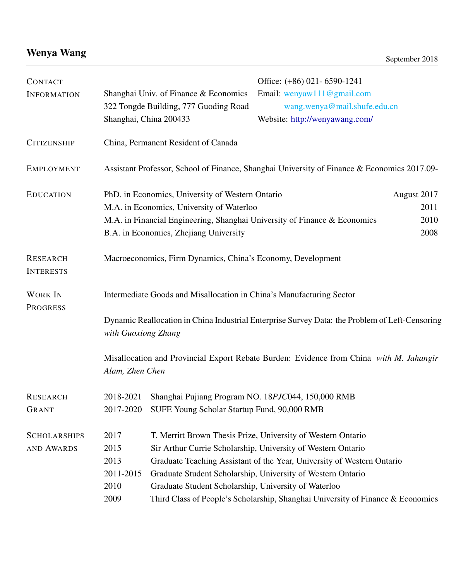## <span id="page-0-0"></span>Wenya Wang

| <b>CONTACT</b><br><b>INFORMATION</b>     | Shanghai Univ. of Finance & Economics<br>322 Tongde Building, 777 Guoding Road<br>Shanghai, China 200433                                                                                                             |                                                                                                   | Office: (+86) 021- 6590-1241<br>Email: wenyaw111@gmail.com<br>wang.wenya@mail.shufe.edu.cn<br>Website: http://wenyawang.com/                                                                                                                                                                                                                             |                                     |  |
|------------------------------------------|----------------------------------------------------------------------------------------------------------------------------------------------------------------------------------------------------------------------|---------------------------------------------------------------------------------------------------|----------------------------------------------------------------------------------------------------------------------------------------------------------------------------------------------------------------------------------------------------------------------------------------------------------------------------------------------------------|-------------------------------------|--|
| <b>CITIZENSHIP</b>                       | China, Permanent Resident of Canada                                                                                                                                                                                  |                                                                                                   |                                                                                                                                                                                                                                                                                                                                                          |                                     |  |
| <b>EMPLOYMENT</b>                        | Assistant Professor, School of Finance, Shanghai University of Finance & Economics 2017.09-                                                                                                                          |                                                                                                   |                                                                                                                                                                                                                                                                                                                                                          |                                     |  |
| <b>EDUCATION</b>                         | PhD. in Economics, University of Western Ontario<br>M.A. in Economics, University of Waterloo<br>M.A. in Financial Engineering, Shanghai University of Finance & Economics<br>B.A. in Economics, Zhejiang University |                                                                                                   |                                                                                                                                                                                                                                                                                                                                                          | August 2017<br>2011<br>2010<br>2008 |  |
| <b>RESEARCH</b><br><b>INTERESTS</b>      | Macroeconomics, Firm Dynamics, China's Economy, Development                                                                                                                                                          |                                                                                                   |                                                                                                                                                                                                                                                                                                                                                          |                                     |  |
| <b>WORK IN</b><br><b>PROGRESS</b>        | Intermediate Goods and Misallocation in China's Manufacturing Sector<br>Dynamic Reallocation in China Industrial Enterprise Survey Data: the Problem of Left-Censoring<br>with Guoxiong Zhang                        |                                                                                                   |                                                                                                                                                                                                                                                                                                                                                          |                                     |  |
|                                          | Misallocation and Provincial Export Rebate Burden: Evidence from China with M. Jahangir<br>Alam, Zhen Chen                                                                                                           |                                                                                                   |                                                                                                                                                                                                                                                                                                                                                          |                                     |  |
| <b>RESEARCH</b><br><b>GRANT</b>          | 2018-2021<br>2017-2020                                                                                                                                                                                               | Shanghai Pujiang Program NO. 18PJC044, 150,000 RMB<br>SUFE Young Scholar Startup Fund, 90,000 RMB |                                                                                                                                                                                                                                                                                                                                                          |                                     |  |
| <b>SCHOLARSHIPS</b><br><b>AND AWARDS</b> | 2017<br>2015<br>2013<br>2011-2015<br>2010<br>2009                                                                                                                                                                    | Graduate Student Scholarship, University of Waterloo                                              | T. Merritt Brown Thesis Prize, University of Western Ontario<br>Sir Arthur Currie Scholarship, University of Western Ontario<br>Graduate Teaching Assistant of the Year, University of Western Ontario<br>Graduate Student Scholarship, University of Western Ontario<br>Third Class of People's Scholarship, Shanghai University of Finance & Economics |                                     |  |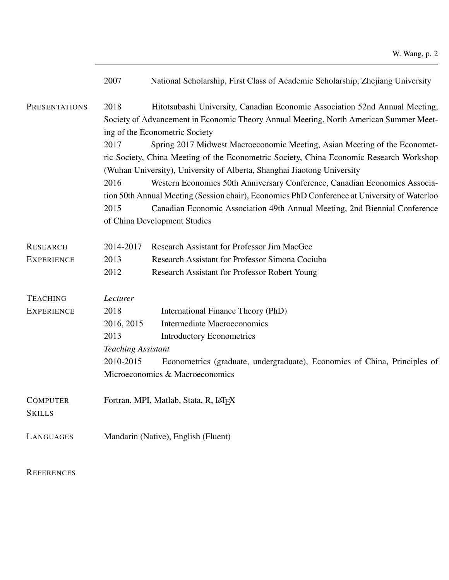|                                  | 2007                                                                                         | National Scholarship, First Class of Academic Scholarship, Zhejiang University |  |  |  |
|----------------------------------|----------------------------------------------------------------------------------------------|--------------------------------------------------------------------------------|--|--|--|
| <b>PRESENTATIONS</b>             | 2018                                                                                         | Hitotsubashi University, Canadian Economic Association 52nd Annual Meeting,    |  |  |  |
|                                  | Society of Advancement in Economic Theory Annual Meeting, North American Summer Meet-        |                                                                                |  |  |  |
|                                  | ing of the Econometric Society                                                               |                                                                                |  |  |  |
|                                  | 2017                                                                                         | Spring 2017 Midwest Macroeconomic Meeting, Asian Meeting of the Economet-      |  |  |  |
|                                  | ric Society, China Meeting of the Econometric Society, China Economic Research Workshop      |                                                                                |  |  |  |
|                                  | (Wuhan University), University of Alberta, Shanghai Jiaotong University                      |                                                                                |  |  |  |
|                                  | 2016                                                                                         | Western Economics 50th Anniversary Conference, Canadian Economics Associa-     |  |  |  |
|                                  | tion 50th Annual Meeting (Session chair), Economics PhD Conference at University of Waterloo |                                                                                |  |  |  |
|                                  | 2015                                                                                         | Canadian Economic Association 49th Annual Meeting, 2nd Biennial Conference     |  |  |  |
|                                  | of China Development Studies                                                                 |                                                                                |  |  |  |
| <b>RESEARCH</b>                  | 2014-2017                                                                                    | Research Assistant for Professor Jim MacGee                                    |  |  |  |
| <b>EXPERIENCE</b>                | 2013                                                                                         | Research Assistant for Professor Simona Cociuba                                |  |  |  |
|                                  | 2012                                                                                         | Research Assistant for Professor Robert Young                                  |  |  |  |
| <b>TEACHING</b>                  | Lecturer                                                                                     |                                                                                |  |  |  |
| <b>EXPERIENCE</b>                | 2018                                                                                         | International Finance Theory (PhD)                                             |  |  |  |
|                                  | 2016, 2015                                                                                   | <b>Intermediate Macroeconomics</b>                                             |  |  |  |
|                                  | 2013                                                                                         | <b>Introductory Econometrics</b>                                               |  |  |  |
|                                  | <b>Teaching Assistant</b>                                                                    |                                                                                |  |  |  |
|                                  | 2010-2015                                                                                    | Econometrics (graduate, undergraduate), Economics of China, Principles of      |  |  |  |
|                                  | Microeconomics & Macroeconomics                                                              |                                                                                |  |  |  |
| <b>COMPUTER</b><br><b>SKILLS</b> | Fortran, MPI, Matlab, Stata, R, LATEX                                                        |                                                                                |  |  |  |
| LANGUAGES                        | Mandarin (Native), English (Fluent)                                                          |                                                                                |  |  |  |
|                                  |                                                                                              |                                                                                |  |  |  |

**REFERENCES**